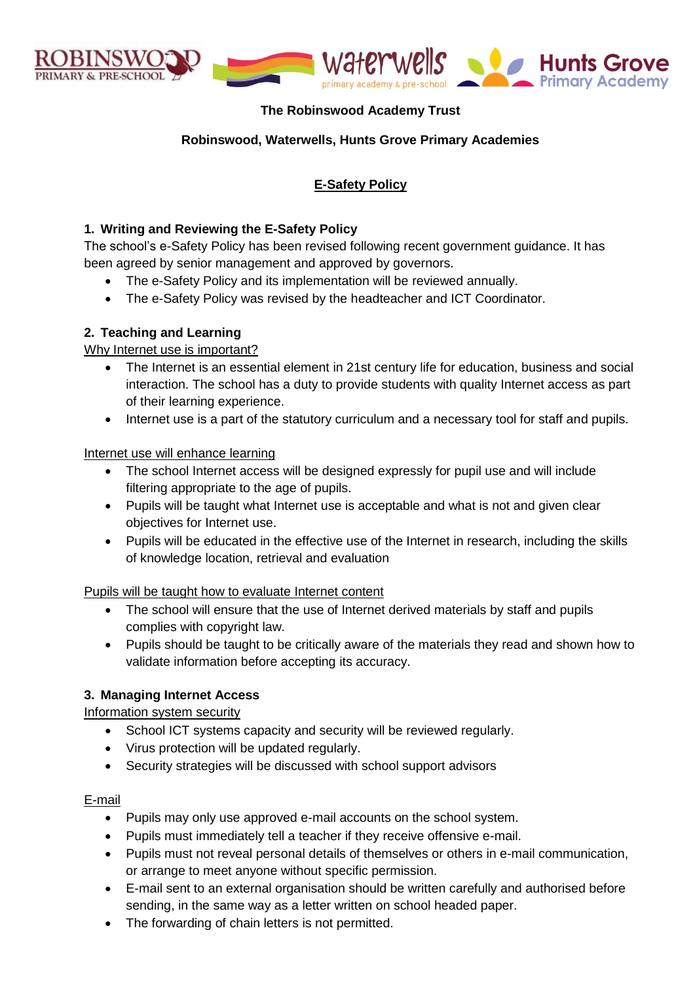

# **The Robinswood Academy Trust**

#### **Robinswood, Waterwells, Hunts Grove Primary Academies**

# **E-Safety Policy**

#### **1. Writing and Reviewing the E-Safety Policy**

The school's e-Safety Policy has been revised following recent government guidance. It has been agreed by senior management and approved by governors.

- The e-Safety Policy and its implementation will be reviewed annually.
- The e-Safety Policy was revised by the headteacher and ICT Coordinator.

#### **2. Teaching and Learning**

#### Why Internet use is important?

- The Internet is an essential element in 21st century life for education, business and social interaction. The school has a duty to provide students with quality Internet access as part of their learning experience.
- Internet use is a part of the statutory curriculum and a necessary tool for staff and pupils.

#### Internet use will enhance learning

- The school Internet access will be designed expressly for pupil use and will include filtering appropriate to the age of pupils.
- Pupils will be taught what Internet use is acceptable and what is not and given clear objectives for Internet use.
- Pupils will be educated in the effective use of the Internet in research, including the skills of knowledge location, retrieval and evaluation

#### Pupils will be taught how to evaluate Internet content

- The school will ensure that the use of Internet derived materials by staff and pupils complies with copyright law.
- Pupils should be taught to be critically aware of the materials they read and shown how to validate information before accepting its accuracy.

#### **3. Managing Internet Access**

Information system security

- School ICT systems capacity and security will be reviewed regularly.
- Virus protection will be updated regularly.
- Security strategies will be discussed with school support advisors

#### E-mail

- Pupils may only use approved e-mail accounts on the school system.
- Pupils must immediately tell a teacher if they receive offensive e-mail.
- Pupils must not reveal personal details of themselves or others in e-mail communication, or arrange to meet anyone without specific permission.
- E-mail sent to an external organisation should be written carefully and authorised before sending, in the same way as a letter written on school headed paper.
- The forwarding of chain letters is not permitted.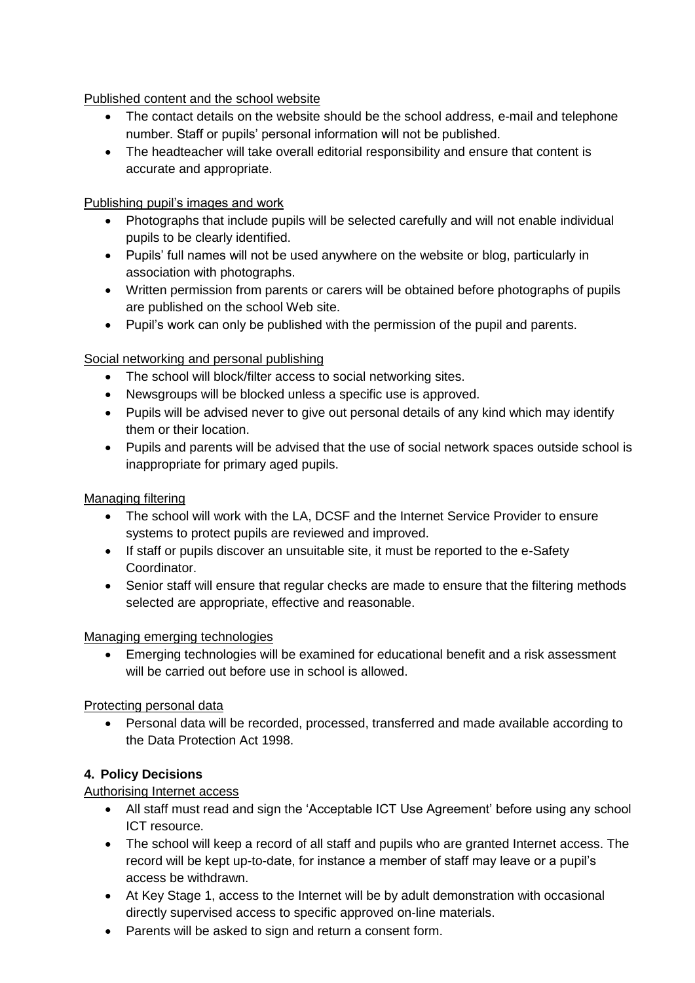Published content and the school website

- The contact details on the website should be the school address, e-mail and telephone number. Staff or pupils' personal information will not be published.
- The headteacher will take overall editorial responsibility and ensure that content is accurate and appropriate.

Publishing pupil's images and work

- Photographs that include pupils will be selected carefully and will not enable individual pupils to be clearly identified.
- Pupils' full names will not be used anywhere on the website or blog, particularly in association with photographs.
- Written permission from parents or carers will be obtained before photographs of pupils are published on the school Web site.
- Pupil's work can only be published with the permission of the pupil and parents.

# Social networking and personal publishing

- The school will block/filter access to social networking sites.
- Newsgroups will be blocked unless a specific use is approved.
- Pupils will be advised never to give out personal details of any kind which may identify them or their location.
- Pupils and parents will be advised that the use of social network spaces outside school is inappropriate for primary aged pupils.

# Managing filtering

- The school will work with the LA, DCSF and the Internet Service Provider to ensure systems to protect pupils are reviewed and improved.
- If staff or pupils discover an unsuitable site, it must be reported to the e-Safety Coordinator.
- Senior staff will ensure that regular checks are made to ensure that the filtering methods selected are appropriate, effective and reasonable.

# Managing emerging technologies

 Emerging technologies will be examined for educational benefit and a risk assessment will be carried out before use in school is allowed.

# Protecting personal data

 Personal data will be recorded, processed, transferred and made available according to the Data Protection Act 1998.

# **4. Policy Decisions**

# Authorising Internet access

- All staff must read and sign the 'Acceptable ICT Use Agreement' before using any school ICT resource.
- The school will keep a record of all staff and pupils who are granted Internet access. The record will be kept up-to-date, for instance a member of staff may leave or a pupil's access be withdrawn.
- At Key Stage 1, access to the Internet will be by adult demonstration with occasional directly supervised access to specific approved on-line materials.
- Parents will be asked to sign and return a consent form.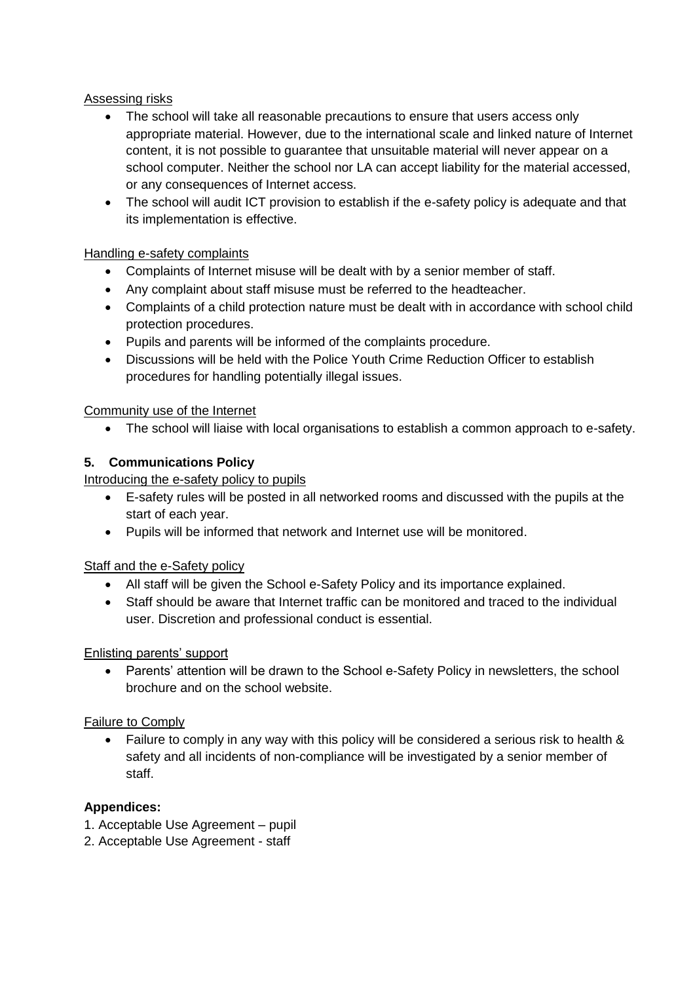#### Assessing risks

- The school will take all reasonable precautions to ensure that users access only appropriate material. However, due to the international scale and linked nature of Internet content, it is not possible to guarantee that unsuitable material will never appear on a school computer. Neither the school nor LA can accept liability for the material accessed, or any consequences of Internet access.
- The school will audit ICT provision to establish if the e-safety policy is adequate and that its implementation is effective.

# Handling e-safety complaints

- Complaints of Internet misuse will be dealt with by a senior member of staff.
- Any complaint about staff misuse must be referred to the headteacher.
- Complaints of a child protection nature must be dealt with in accordance with school child protection procedures.
- Pupils and parents will be informed of the complaints procedure.
- Discussions will be held with the Police Youth Crime Reduction Officer to establish procedures for handling potentially illegal issues.

Community use of the Internet

The school will liaise with local organisations to establish a common approach to e-safety.

# **5. Communications Policy**

Introducing the e-safety policy to pupils

- E-safety rules will be posted in all networked rooms and discussed with the pupils at the start of each year.
- Pupils will be informed that network and Internet use will be monitored.

# Staff and the e-Safety policy

- All staff will be given the School e-Safety Policy and its importance explained.
- Staff should be aware that Internet traffic can be monitored and traced to the individual user. Discretion and professional conduct is essential.

#### Enlisting parents' support

• Parents' attention will be drawn to the School e-Safety Policy in newsletters, the school brochure and on the school website.

# Failure to Comply

 Failure to comply in any way with this policy will be considered a serious risk to health & safety and all incidents of non-compliance will be investigated by a senior member of staff.

# **Appendices:**

- 1. Acceptable Use Agreement pupil
- 2. Acceptable Use Agreement staff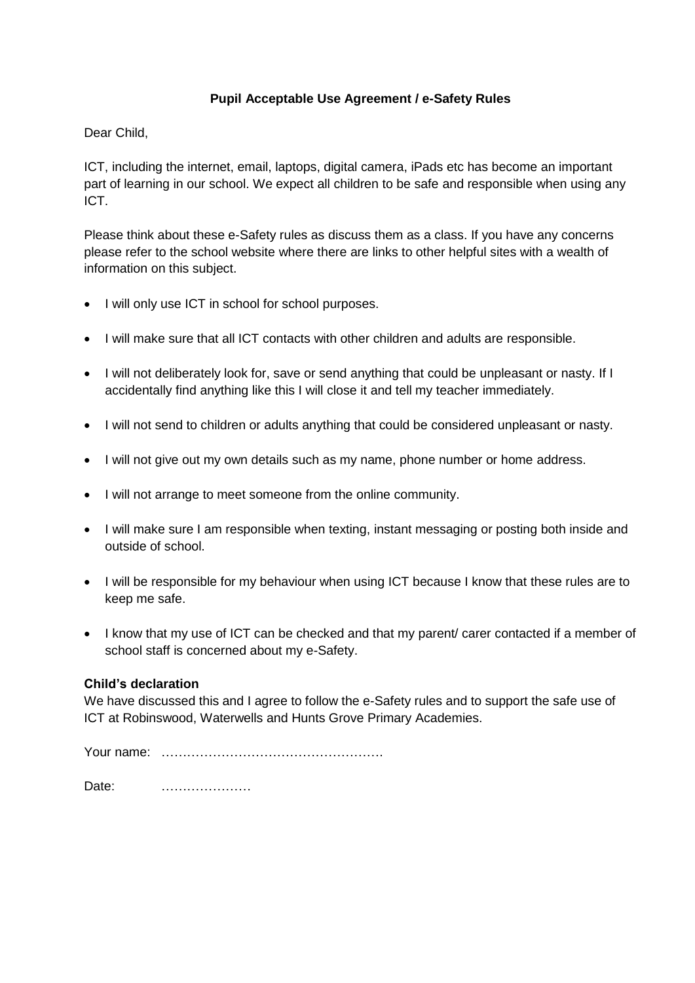#### **Pupil Acceptable Use Agreement / e-Safety Rules**

Dear Child,

ICT, including the internet, email, laptops, digital camera, iPads etc has become an important part of learning in our school. We expect all children to be safe and responsible when using any ICT.

Please think about these e-Safety rules as discuss them as a class. If you have any concerns please refer to the school website where there are links to other helpful sites with a wealth of information on this subject.

- I will only use ICT in school for school purposes.
- I will make sure that all ICT contacts with other children and adults are responsible.
- I will not deliberately look for, save or send anything that could be unpleasant or nasty. If I accidentally find anything like this I will close it and tell my teacher immediately.
- I will not send to children or adults anything that could be considered unpleasant or nasty.
- I will not give out my own details such as my name, phone number or home address.
- I will not arrange to meet someone from the online community.
- I will make sure I am responsible when texting, instant messaging or posting both inside and outside of school.
- I will be responsible for my behaviour when using ICT because I know that these rules are to keep me safe.
- I know that my use of ICT can be checked and that my parent/ carer contacted if a member of school staff is concerned about my e-Safety.

#### **Child's declaration**

We have discussed this and I agree to follow the e-Safety rules and to support the safe use of ICT at Robinswood, Waterwells and Hunts Grove Primary Academies.

Your name: …………………………………………….

Date: …………………